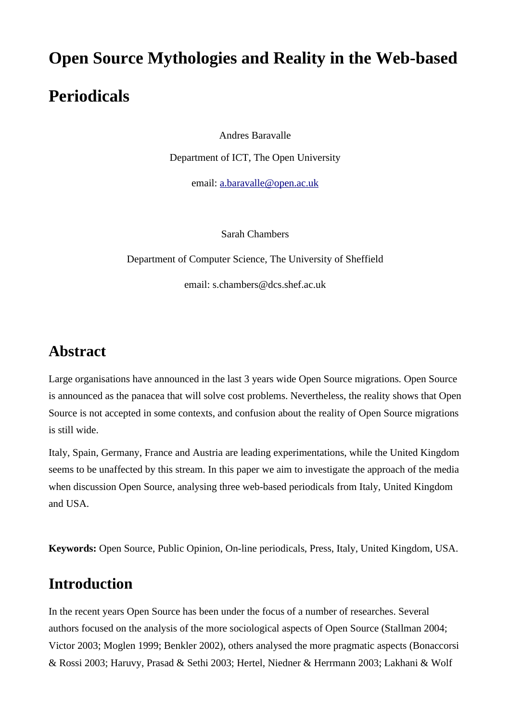# **Open Source Mythologies and Reality in the Web-based Periodicals**

Andres Baravalle

Department of ICT, The Open University

email: [a.baravalle@open.ac.uk](mailto:a.baravalle@open.ac.uk)

Sarah Chambers

Department of Computer Science, The University of Sheffield email: s.chambers@dcs.shef.ac.uk

## **Abstract**

Large organisations have announced in the last 3 years wide Open Source migrations. Open Source is announced as the panacea that will solve cost problems. Nevertheless, the reality shows that Open Source is not accepted in some contexts, and confusion about the reality of Open Source migrations is still wide.

Italy, Spain, Germany, France and Austria are leading experimentations, while the United Kingdom seems to be unaffected by this stream. In this paper we aim to investigate the approach of the media when discussion Open Source, analysing three web-based periodicals from Italy, United Kingdom and USA.

**Keywords:** Open Source, Public Opinion, On-line periodicals, Press, Italy, United Kingdom, USA.

# **Introduction**

In the recent years Open Source has been under the focus of a number of researches. Several authors focused on the analysis of the more sociological aspects of Open Source (Stallman 2004; Victor 2003; Moglen 1999; Benkler 2002), others analysed the more pragmatic aspects (Bonaccorsi & Rossi 2003; Haruvy, Prasad & Sethi 2003; Hertel, Niedner & Herrmann 2003; Lakhani & Wolf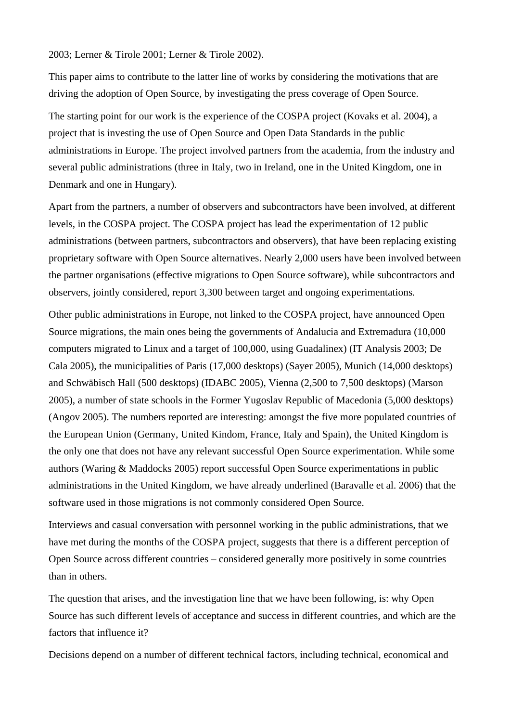2003; Lerner & Tirole 2001; Lerner & Tirole 2002).

This paper aims to contribute to the latter line of works by considering the motivations that are driving the adoption of Open Source, by investigating the press coverage of Open Source.

The starting point for our work is the experience of the COSPA project (Kovaks et al. 2004), a project that is investing the use of Open Source and Open Data Standards in the public administrations in Europe. The project involved partners from the academia, from the industry and several public administrations (three in Italy, two in Ireland, one in the United Kingdom, one in Denmark and one in Hungary).

Apart from the partners, a number of observers and subcontractors have been involved, at different levels, in the COSPA project. The COSPA project has lead the experimentation of 12 public administrations (between partners, subcontractors and observers), that have been replacing existing proprietary software with Open Source alternatives. Nearly 2,000 users have been involved between the partner organisations (effective migrations to Open Source software), while subcontractors and observers, jointly considered, report 3,300 between target and ongoing experimentations.

Other public administrations in Europe, not linked to the COSPA project, have announced Open Source migrations, the main ones being the governments of Andalucia and Extremadura (10,000 computers migrated to Linux and a target of 100,000, using Guadalinex) (IT Analysis 2003; De Cala 2005), the municipalities of Paris (17,000 desktops) (Sayer 2005), Munich (14,000 desktops) and Schwäbisch Hall (500 desktops) (IDABC 2005), Vienna (2,500 to 7,500 desktops) (Marson 2005), a number of state schools in the Former Yugoslav Republic of Macedonia (5,000 desktops) (Angov 2005). The numbers reported are interesting: amongst the five more populated countries of the European Union (Germany, United Kindom, France, Italy and Spain), the United Kingdom is the only one that does not have any relevant successful Open Source experimentation. While some authors (Waring & Maddocks 2005) report successful Open Source experimentations in public administrations in the United Kingdom, we have already underlined (Baravalle et al. 2006) that the software used in those migrations is not commonly considered Open Source.

Interviews and casual conversation with personnel working in the public administrations, that we have met during the months of the COSPA project, suggests that there is a different perception of Open Source across different countries – considered generally more positively in some countries than in others.

The question that arises, and the investigation line that we have been following, is: why Open Source has such different levels of acceptance and success in different countries, and which are the factors that influence it?

Decisions depend on a number of different technical factors, including technical, economical and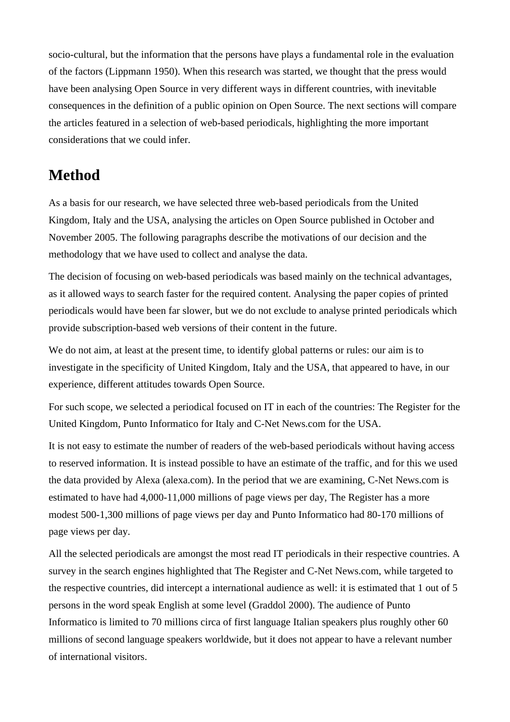socio-cultural, but the information that the persons have plays a fundamental role in the evaluation of the factors (Lippmann 1950). When this research was started, we thought that the press would have been analysing Open Source in very different ways in different countries, with inevitable consequences in the definition of a public opinion on Open Source. The next sections will compare the articles featured in a selection of web-based periodicals, highlighting the more important considerations that we could infer.

### **Method**

As a basis for our research, we have selected three web-based periodicals from the United Kingdom, Italy and the USA, analysing the articles on Open Source published in October and November 2005. The following paragraphs describe the motivations of our decision and the methodology that we have used to collect and analyse the data.

The decision of focusing on web-based periodicals was based mainly on the technical advantages, as it allowed ways to search faster for the required content. Analysing the paper copies of printed periodicals would have been far slower, but we do not exclude to analyse printed periodicals which provide subscription-based web versions of their content in the future.

We do not aim, at least at the present time, to identify global patterns or rules: our aim is to investigate in the specificity of United Kingdom, Italy and the USA, that appeared to have, in our experience, different attitudes towards Open Source.

For such scope, we selected a periodical focused on IT in each of the countries: The Register for the United Kingdom, Punto Informatico for Italy and C-Net News.com for the USA.

It is not easy to estimate the number of readers of the web-based periodicals without having access to reserved information. It is instead possible to have an estimate of the traffic, and for this we used the data provided by Alexa (alexa.com). In the period that we are examining, C-Net News.com is estimated to have had 4,000-11,000 millions of page views per day, The Register has a more modest 500-1,300 millions of page views per day and Punto Informatico had 80-170 millions of page views per day.

All the selected periodicals are amongst the most read IT periodicals in their respective countries. A survey in the search engines highlighted that The Register and C-Net News.com, while targeted to the respective countries, did intercept a international audience as well: it is estimated that 1 out of 5 persons in the word speak English at some level (Graddol 2000). The audience of Punto Informatico is limited to 70 millions circa of first language Italian speakers plus roughly other 60 millions of second language speakers worldwide, but it does not appear to have a relevant number of international visitors.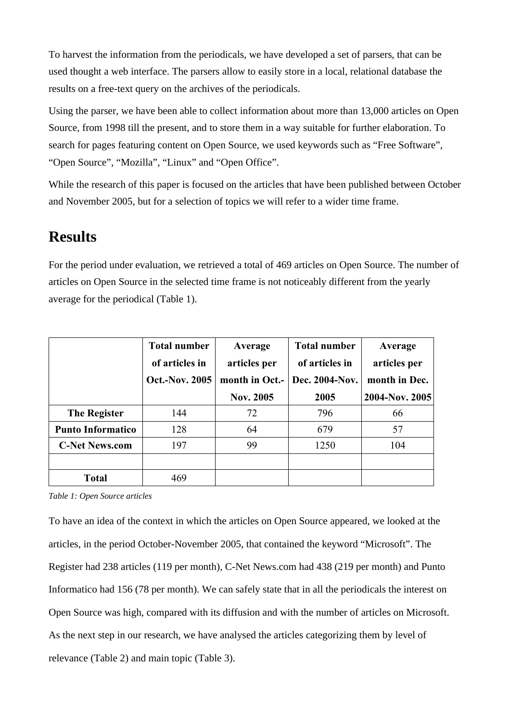To harvest the information from the periodicals, we have developed a set of parsers, that can be used thought a web interface. The parsers allow to easily store in a local, relational database the results on a free-text query on the archives of the periodicals.

Using the parser, we have been able to collect information about more than 13,000 articles on Open Source, from 1998 till the present, and to store them in a way suitable for further elaboration. To search for pages featuring content on Open Source, we used keywords such as "Free Software", "Open Source", "Mozilla", "Linux" and "Open Office".

While the research of this paper is focused on the articles that have been published between October and November 2005, but for a selection of topics we will refer to a wider time frame.

#### **Results**

For the period under evaluation, we retrieved a total of 469 articles on Open Source. The number of articles on Open Source in the selected time frame is not noticeably different from the yearly average for the periodical (Table 1).

|                          | <b>Total number</b><br>of articles in | Average<br>articles per | <b>Total number</b><br>of articles in | Average<br>articles per |
|--------------------------|---------------------------------------|-------------------------|---------------------------------------|-------------------------|
|                          | <b>Oct.-Nov. 2005</b>                 | month in Oct.-          | Dec. 2004-Nov.                        | month in Dec.           |
|                          |                                       | <b>Nov. 2005</b>        | 2005                                  | 2004-Nov. 2005          |
| <b>The Register</b>      | 144                                   | 72                      | 796                                   | 66                      |
| <b>Punto Informatico</b> | 128                                   | 64                      | 679                                   | 57                      |
| <b>C-Net News.com</b>    | 197                                   | 99                      | 1250                                  | 104                     |
|                          |                                       |                         |                                       |                         |
| <b>Total</b>             | 469                                   |                         |                                       |                         |

*Table 1: Open Source articles*

To have an idea of the context in which the articles on Open Source appeared, we looked at the articles, in the period October-November 2005, that contained the keyword "Microsoft". The Register had 238 articles (119 per month), C-Net News.com had 438 (219 per month) and Punto Informatico had 156 (78 per month). We can safely state that in all the periodicals the interest on Open Source was high, compared with its diffusion and with the number of articles on Microsoft. As the next step in our research, we have analysed the articles categorizing them by level of relevance (Table 2) and main topic (Table 3).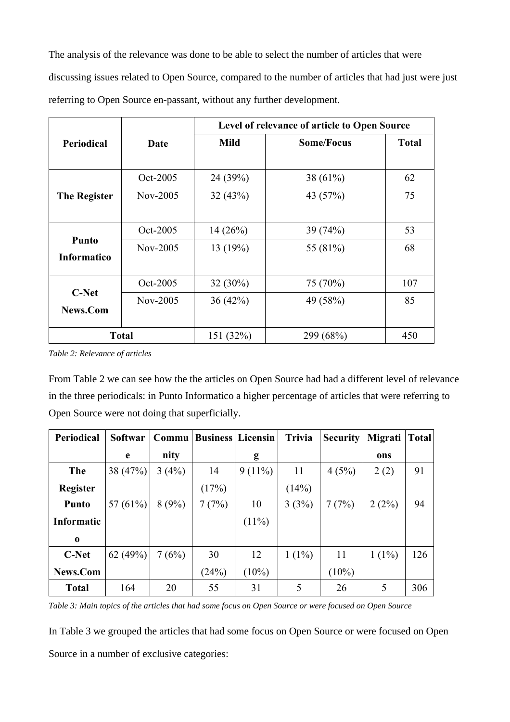The analysis of the relevance was done to be able to select the number of articles that were discussing issues related to Open Source, compared to the number of articles that had just were just referring to Open Source en-passant, without any further development.

|                                    |          | Level of relevance of article to Open Source |                   |              |  |
|------------------------------------|----------|----------------------------------------------|-------------------|--------------|--|
| <b>Periodical</b>                  | Date     | <b>Mild</b>                                  | <b>Some/Focus</b> | <b>Total</b> |  |
| <b>The Register</b>                | Oct-2005 | 24 (39%)                                     | 38 $(61%)$        | 62           |  |
|                                    | Nov-2005 | 32(43%)                                      | 43 (57%)          | 75           |  |
| <b>Punto</b><br><b>Informatico</b> | Oct-2005 | 14(26%)                                      | 39(74%)           | 53           |  |
|                                    | Nov-2005 | 13 $(19%)$                                   | 55 (81%)          | 68           |  |
| <b>C-Net</b><br>News.Com           | Oct-2005 | $32(30\%)$                                   | 75 (70%)          | 107          |  |
|                                    | Nov-2005 | 36(42%)                                      | 49 (58%)          | 85           |  |
| <b>Total</b>                       |          | 151 (32%)                                    | 299 (68%)         | 450          |  |

*Table 2: Relevance of articles*

From Table 2 we can see how the the articles on Open Source had had a different level of relevance in the three periodicals: in Punto Informatico a higher percentage of articles that were referring to Open Source were not doing that superficially.

| Periodical      | <b>Softwar</b> | Commu |       | <b>Business Licensin</b> | <b>Trivia</b> | <b>Security</b> | <b>Migrati</b> | <b>Total</b> |
|-----------------|----------------|-------|-------|--------------------------|---------------|-----------------|----------------|--------------|
|                 | e              | nity  |       | g                        |               |                 | ons            |              |
| The             | 38 (47%)       | 3(4%) | 14    | $9(11\%)$                | 11            | 4(5%)           | 2(2)           | 91           |
| <b>Register</b> |                |       | (17%) |                          | (14%)         |                 |                |              |
| <b>Punto</b>    | 57 $(61\%)$    | 8(9%) | 7(7%) | 10                       | 3(3%)         | 7(7%)           | 2(2%)          | 94           |
| Informatic      |                |       |       | $(11\%)$                 |               |                 |                |              |
| $\bf{0}$        |                |       |       |                          |               |                 |                |              |
| <b>C-Net</b>    | 62(49%)        | 7(6%) | 30    | 12                       | $1(1\%)$      | 11              | $1(1\%)$       | 126          |
| News.Com        |                |       | (24%) | $(10\%)$                 |               | $(10\%)$        |                |              |
| <b>Total</b>    | 164            | 20    | 55    | 31                       | 5             | 26              |                | 306          |

*Table 3: Main topics of the articles that had some focus on Open Source or were focused on Open Source*

In Table 3 we grouped the articles that had some focus on Open Source or were focused on Open Source in a number of exclusive categories: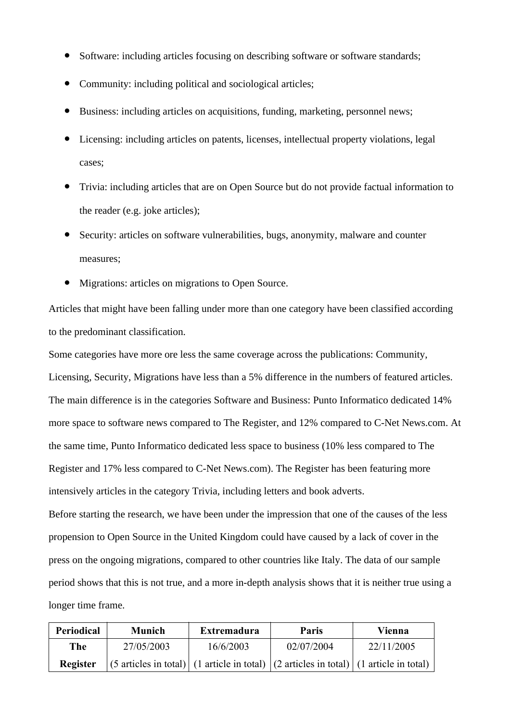- Software: including articles focusing on describing software or software standards;
- Community: including political and sociological articles;
- Business: including articles on acquisitions, funding, marketing, personnel news;
- Licensing: including articles on patents, licenses, intellectual property violations, legal cases;
- Trivia: including articles that are on Open Source but do not provide factual information to the reader (e.g. joke articles);
- Security: articles on software vulnerabilities, bugs, anonymity, malware and counter measures;
- Migrations: articles on migrations to Open Source.

Articles that might have been falling under more than one category have been classified according to the predominant classification.

Some categories have more ore less the same coverage across the publications: Community, Licensing, Security, Migrations have less than a 5% difference in the numbers of featured articles. The main difference is in the categories Software and Business: Punto Informatico dedicated 14% more space to software news compared to The Register, and 12% compared to C-Net News.com. At the same time, Punto Informatico dedicated less space to business (10% less compared to The Register and 17% less compared to C-Net News.com). The Register has been featuring more intensively articles in the category Trivia, including letters and book adverts. Before starting the research, we have been under the impression that one of the causes of the less propension to Open Source in the United Kingdom could have caused by a lack of cover in the press on the ongoing migrations, compared to other countries like Italy. The data of our sample period shows that this is not true, and a more in-depth analysis shows that it is neither true using a longer time frame.

| Periodical      | <b>Munich</b> | Extremadura | Paris                                                                                                     | Vienna     |
|-----------------|---------------|-------------|-----------------------------------------------------------------------------------------------------------|------------|
| <b>The</b>      | 27/05/2003    | 16/6/2003   | 02/07/2004                                                                                                | 22/11/2005 |
| <b>Register</b> |               |             | $(5 \text{ articles in total})$ (1 article in total) $(2 \text{ articles in total})$ (1 article in total) |            |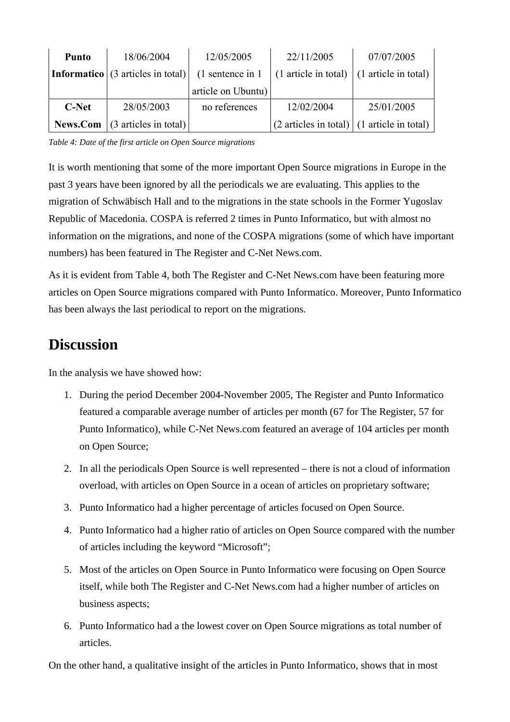| <b>Punto</b> | 18/06/2004                                         | 12/05/2005         | 22/11/2005                                                    | 07/07/2005           |
|--------------|----------------------------------------------------|--------------------|---------------------------------------------------------------|----------------------|
|              | <b>Informatico</b> $(3 \text{ articles in total})$ | (1 sentence in 1)  | $(1 \text{ article in total})$ $(1 \text{ article in total})$ |                      |
|              |                                                    | article on Ubuntu) |                                                               |                      |
| <b>C-Net</b> | 28/05/2003                                         | no references      | 12/02/2004                                                    | 25/01/2005           |
| News.Com     | $(3 \text{ articles in total})$                    |                    | $(2 \text{ articles in total})$                               | (1 article in total) |

*Table 4: Date of the first article on Open Source migrations*

It is worth mentioning that some of the more important Open Source migrations in Europe in the past 3 years have been ignored by all the periodicals we are evaluating. This applies to the migration of Schwäbisch Hall and to the migrations in the state schools in the Former Yugoslav Republic of Macedonia. COSPA is referred 2 times in Punto Informatico, but with almost no information on the migrations, and none of the COSPA migrations (some of which have important numbers) has been featured in The Register and C-Net News.com.

As it is evident from Table 4, both The Register and C-Net News.com have been featuring more articles on Open Source migrations compared with Punto Informatico. Moreover, Punto Informatico has been always the last periodical to report on the migrations.

# **Discussion**

In the analysis we have showed how:

- 1. During the period December 2004-November 2005, The Register and Punto Informatico featured a comparable average number of articles per month (67 for The Register, 57 for Punto Informatico), while C-Net News.com featured an average of 104 articles per month on Open Source;
- 2. In all the periodicals Open Source is well represented there is not a cloud of information overload, with articles on Open Source in a ocean of articles on proprietary software;
- 3. Punto Informatico had a higher percentage of articles focused on Open Source.
- 4. Punto Informatico had a higher ratio of articles on Open Source compared with the number of articles including the keyword "Microsoft";
- 5. Most of the articles on Open Source in Punto Informatico were focusing on Open Source itself, while both The Register and C-Net News.com had a higher number of articles on business aspects;
- 6. Punto Informatico had a the lowest cover on Open Source migrations as total number of articles.

On the other hand, a qualitative insight of the articles in Punto Informatico, shows that in most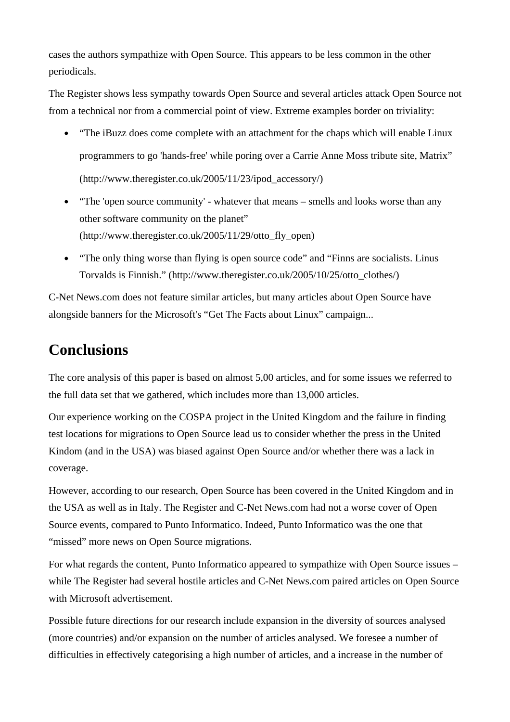cases the authors sympathize with Open Source. This appears to be less common in the other periodicals.

The Register shows less sympathy towards Open Source and several articles attack Open Source not from a technical nor from a commercial point of view. Extreme examples border on triviality:

- "The iBuzz does come complete with an attachment for the chaps which will enable Linux programmers to go 'hands-free' while poring over a Carrie Anne Moss tribute site, Matrix" (http://www.theregister.co.uk/2005/11/23/ipod\_accessory/)
- "The 'open source community' whatever that means smells and looks worse than any other software community on the planet" (http://www.theregister.co.uk/2005/11/29/otto\_fly\_open)
- "The only thing worse than flying is open source code" and "Finns are socialists. Linus Torvalds is Finnish." (http://www.theregister.co.uk/2005/10/25/otto\_clothes/)

C-Net News.com does not feature similar articles, but many articles about Open Source have alongside banners for the Microsoft's "Get The Facts about Linux" campaign...

## **Conclusions**

The core analysis of this paper is based on almost 5,00 articles, and for some issues we referred to the full data set that we gathered, which includes more than 13,000 articles.

Our experience working on the COSPA project in the United Kingdom and the failure in finding test locations for migrations to Open Source lead us to consider whether the press in the United Kindom (and in the USA) was biased against Open Source and/or whether there was a lack in coverage.

However, according to our research, Open Source has been covered in the United Kingdom and in the USA as well as in Italy. The Register and C-Net News.com had not a worse cover of Open Source events, compared to Punto Informatico. Indeed, Punto Informatico was the one that "missed" more news on Open Source migrations.

For what regards the content, Punto Informatico appeared to sympathize with Open Source issues – while The Register had several hostile articles and C-Net News.com paired articles on Open Source with Microsoft advertisement.

Possible future directions for our research include expansion in the diversity of sources analysed (more countries) and/or expansion on the number of articles analysed. We foresee a number of difficulties in effectively categorising a high number of articles, and a increase in the number of